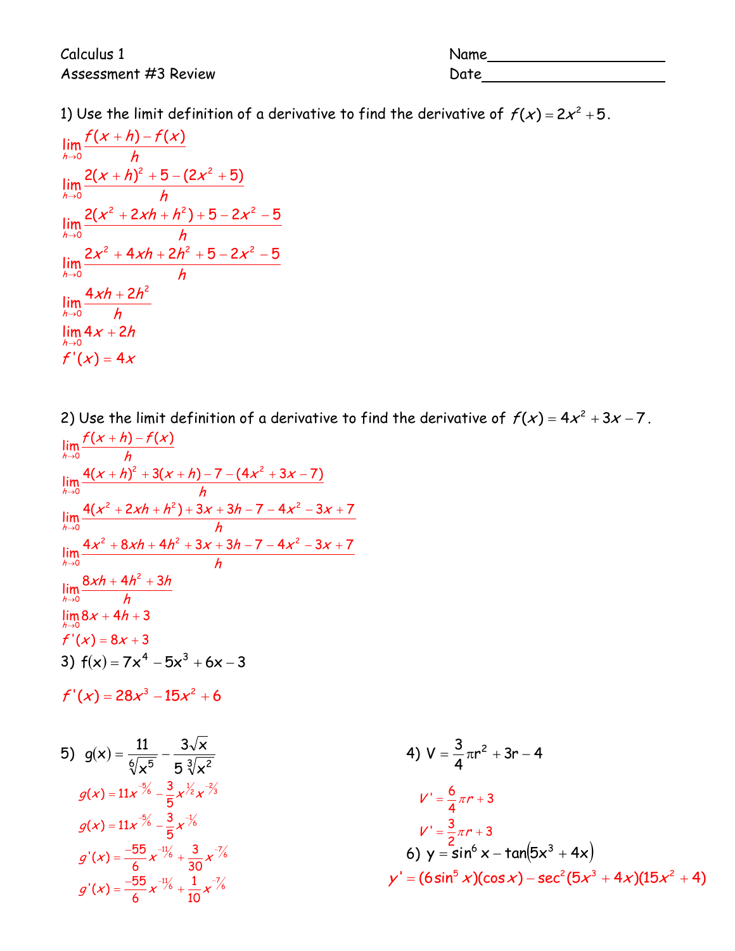Calculus 1 Name Assessment #3 Review Date Date

1) Use the limit definition of a derivative to find the derivative of  $f(x) = 2x^2 + 5$ .<br> $\lim_{x \to 0} \frac{f(x+h) - f(x)}{h}$ 

$$
\lim_{h\to 0} \frac{f(x+h)-f(x)}{h}
$$
\n
$$
\lim_{h\to 0} \frac{2(x+h)^2+5-(2x^2+5)}{h}
$$
\n
$$
\lim_{h\to 0} \frac{2(x^2+2xh+h^2)+5-2x^2-5}{h}
$$
\n
$$
\lim_{h\to 0} \frac{2x^2+4xh+2h^2+5-2x^2-5}{h}
$$
\n
$$
\lim_{h\to 0} \frac{4xh+2h^2}{h}
$$
\n
$$
\lim_{h\to 0} 4x+2h
$$
\n
$$
f'(x) = 4x
$$

2) Use the limit definition of a derivative to find the derivative of  $f(x) = 4x^2 + 3x - 7$ .<br> $\lim_{x \to 0} \frac{f(x+h) - f(x)}{h}$ 2) Use the limit  $\lim_{x \to 0} \frac{f(x+h) - f(x)}{h}$ 

$$
\lim_{h\to 0} \frac{r(x+h)-r(x)}{h}
$$
\n
$$
\lim_{h\to 0} \frac{4(x+h)^2 + 3(x+h) - 7 - (4x^2 + 3x - 7)}{h}
$$
\n
$$
\lim_{h\to 0} \frac{4(x^2 + 2xh + h^2) + 3x + 3h - 7 - 4x^2 - 3x + 7}{h}
$$
\n
$$
\lim_{h\to 0} \frac{4x^2 + 8xh + 4h^2 + 3x + 3h - 7 - 4x^2 - 3x + 7}{h}
$$
\n
$$
\lim_{h\to 0} \frac{8xh + 4h^2 + 3h}{h}
$$
\n
$$
\lim_{h\to 0} 8x + 4h + 3
$$
\n
$$
f'(x) = 8x + 3
$$
\n3)  $f(x) = 7x^4 - 5x^3 + 6x - 3$ \n
$$
f'(x) = 28x^3 - 15x^2 + 6
$$

$$
f'(x) = 28x^3 - 15x^2 + 6
$$
  
\n5)  $g(x) = \frac{11}{6\sqrt{x^5}} - \frac{3\sqrt{x}}{5\sqrt[3]{x^2}}$   
\n $g(x) = 11x^{-\frac{5}{6}} - \frac{3}{5}x^{\frac{1}{2}}x^{\frac{2}{3}}$   
\n $g(x) = 11x^{-\frac{5}{6}} - \frac{3}{5}x^{-\frac{1}{6}}$   
\n $g'(x) = \frac{-55}{6}x^{-\frac{11}{6}}x^{\frac{1}{6}} + \frac{3}{10}x^{-\frac{7}{6}}$   
\n $h'(x) = \frac{55}{6}x^{-\frac{11}{6}}x^{\frac{1}{6}} + \frac{1}{10}x^{-\frac{7}{6}}$   
\n $h'(x) = \frac{-55}{6}x^{-\frac{11}{6}}x^{\frac{1}{6}} + \frac{1}{10}x^{-\frac{7}{6}}$   
\n $h'(x) = \frac{-55}{6}x^{-\frac{11}{6}} + \frac{1}{10}x^{-\frac{7}{6}}$   
\n $h'(x) = \frac{-55}{6}x^{-\frac{11}{6}} + \frac{1}{10}x^{-\frac{7}{6}}$   
\n $h'(x) = \frac{-55}{6}x^{-\frac{11}{6}} + \frac{1}{10}x^{-\frac{7}{6}}$   
\n $h'(x) = \frac{-55}{6}x^{-\frac{11}{6}} + \frac{1}{10}x^{-\frac{7}{6}}$   
\n $h'(x) = \frac{-55}{6}x^{-\frac{11}{6}} + \frac{1}{10}x^{-\frac{7}{6}}$   
\n $h'(x) = \frac{-55}{6}x^{-\frac{11}{6}} + \frac{1}{10}x^{-\frac{7}{6}}$   
\n $h'(x) = \frac{-55}{6}x^{-\frac{11}{6}} + \frac{1}{10}x^{-\frac{7}{6}}$   
\n $h'(x) = \frac{-55}{6}x^{-\frac{11}{6}} + \frac{1}{10}x^{-\frac{7}{6}}$   
\n $h'(x) = \frac{-55}{6}x^{-\frac{11}{6}} + \$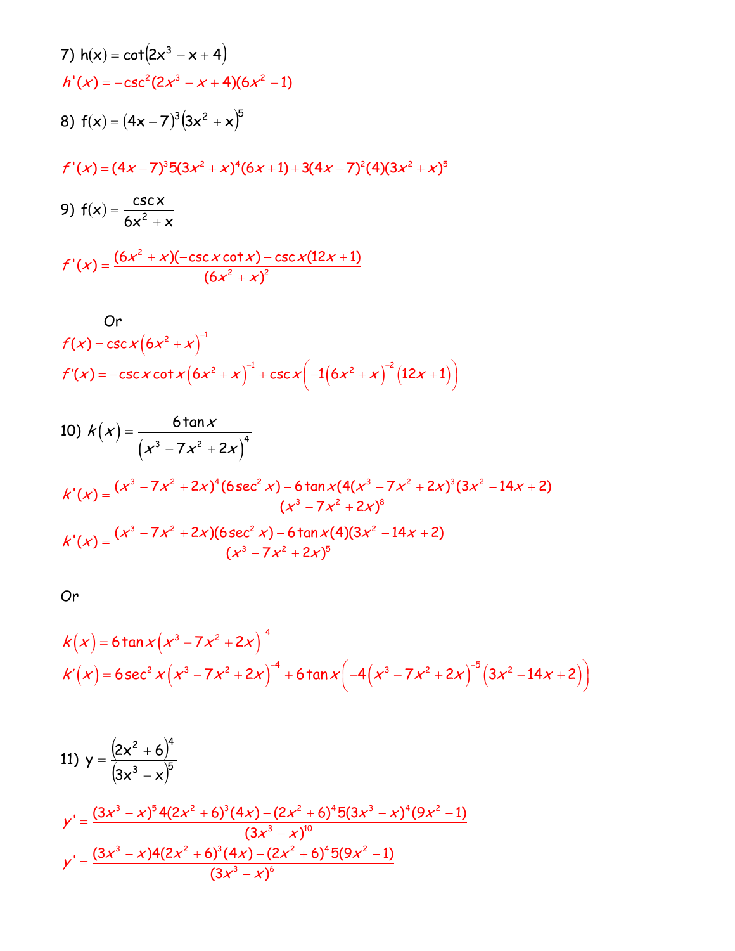7) 
$$
h(x) = \cot(2x^3 - x + 4)
$$
  
\n $h'(x) = -\csc^2(2x^3 - x + 4)(6x^2 - 1)$   
\n8)  $f(x) = (4x - 7)^3(3x^2 + x)^5$   
\n $f'(x) = (4x - 7)^35(3x^2 + x)^4(6x + 1) + 3(4x - 7)^2(4)(3x^2 + x)^5$ 

9) 
$$
f(x) = \frac{\csc x}{6x^2 + x}
$$
  

$$
f'(x) = \frac{(6x^2 + x)(-\csc x \cot x) - \csc x(12x + 1)}{(6x^2 + x)^2}
$$

Or  
\n
$$
f(x) = \csc x (6x^2 + x)^{-1}
$$
\n
$$
f'(x) = -\csc x \cot x (6x^2 + x)^{-1} + \csc x (-1(6x^2 + x)^{-2} (12x + 1))
$$

10) 
$$
k(x) = \frac{6 \tan x}{(x^3 - 7x^2 + 2x)^4}
$$
  
\n
$$
k'(x) = \frac{(x^3 - 7x^2 + 2x)^4 (6 \sec^2 x) - 6 \tan x (4(x^3 - 7x^2 + 2x)^3 (3x^2 - 14x + 2))}{(x^3 - 7x^2 + 2x)^8}
$$
  
\n
$$
k'(x) = \frac{(x^3 - 7x^2 + 2x)(6 \sec^2 x) - 6 \tan x (4)(3x^2 - 14x + 2)}{(x^3 - 7x^2 + 2x)^5}
$$

Or

Or  
\n
$$
k(x) = 6 \tan x (x^3 - 7x^2 + 2x)^4
$$
\n
$$
k'(x) = 6 \sec^2 x (x^3 - 7x^2 + 2x)^4 + 6 \tan x (-4(x^3 - 7x^2 + 2x)^{-5} (3x^2 - 14x + 2))
$$

11) 
$$
y = \frac{(2x^2 + 6)^4}{(3x^3 - x)^5}
$$
  
\n $y' = \frac{(3x^3 - x)^5 4(2x^2 + 6)^3 (4x) - (2x^2 + 6)^4 5(3x^3 - x)^4 (9x^2 - 1)}{(3x^3 - x)^{10}}$   
\n $y' = \frac{(3x^3 - x)4(2x^2 + 6)^3 (4x) - (2x^2 + 6)^4 5(9x^2 - 1)}{(3x^3 - x)^6}$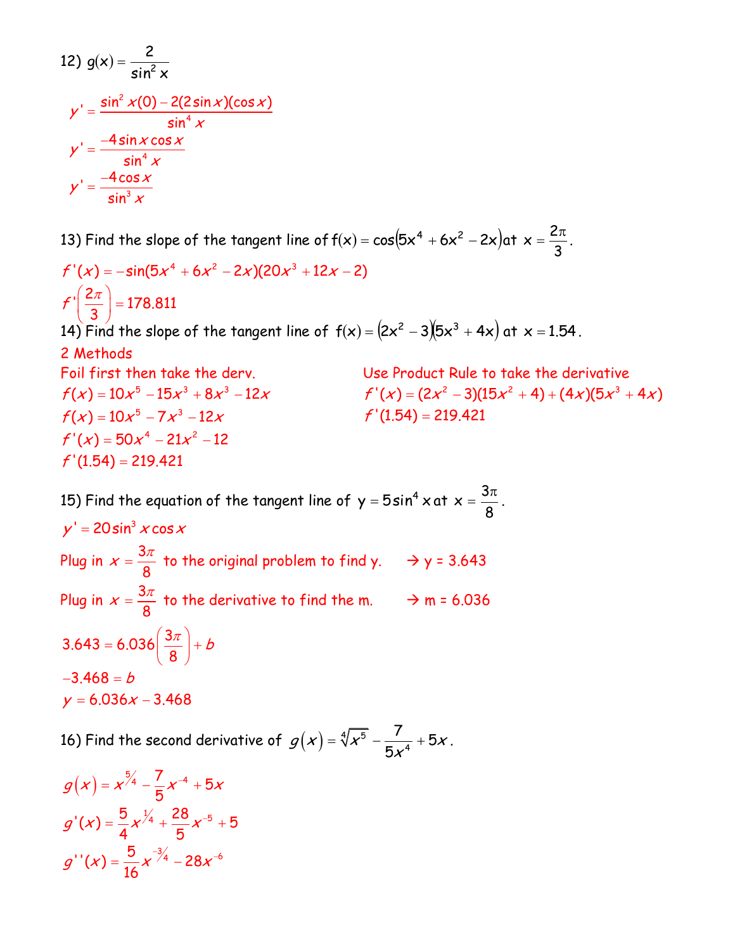12) 
$$
g(x) = \frac{2}{\sin^2 x}
$$

$$
y' = \frac{\sin^2 x (0) - 2(2\sin x)(\cos x)}{\sin^4 x}
$$

$$
y' = \frac{-4\sin x \cos x}{\sin^4 x}
$$

$$
y' = \frac{-4\cos x}{\sin^3 x}
$$

13) Find the slope of the tangent line of  $f(x) = cos(5x^4 + 6x^2 - 2x)$ at 3  $x=\frac{2\pi}{3}$ . 13) Find the slope of the tangent line of  $f(x) = cos$ <br> $f'(x) = -sin(5x^4 + 6x^2 - 2x)(20x^3 + 12x - 2)$ 

14) Find the slope of the tangent line of  $f(x) = (2x^2 - 3)(5x^3 + 4x)$  at  $x = 1.54$  . 2 Methods Foil first then take the derv. Use Product Rule to take the derivative 2  $f(x) = -\sin(5x^4)$ <br> $f\left(\frac{2\pi}{3}\right) = 178.811$  $f'$   $\frac{2\pi}{4}$  $(x) = -\sin(5)$ <br> $\left(\frac{2\pi}{3}\right) = 178.8$  $\left(\frac{2\pi}{3}\right) = 178.8$ Foil first then take the derv.<br> $f(x) = 10x^5 - 15x^3 + 8x^3 - 12x$  $f(x) = 10x^3 - 15x^2 + 8x$ <br> $f(x) = 10x^5 - 7x^3 - 12x$  $f'(x) = 10x^2 - 7x^2 - 12x$ <br> $f'(x) = 50x^4 - 21x^2 - 12$  $f'(x) = 50x^3 - 21$ <br> $f'(1.54) = 219.421$ se Product Rule to take the derivative<br>'(x) = (2x<sup>2</sup> - 3)(15x<sup>2</sup> + 4) + (4x)(5x<sup>3</sup> + 4x)  $'(x) = (2x^2 - 3)(1)$ <br> $'(1.54) = 219.421$ Use Product Rule to take the derivative<br> $f'(x) = (2x^2 - 3)(15x^2 + 4) + (4x)(5x^3 + 4x)$  $f'(1.54) =$ 

15) Find the equation of the tangent line of  $y = 5\sin^4 x$  at 8  $x=\frac{3}{2}$  $=\frac{3\pi}{2}$ . Plug in  $x = \frac{3}{4}$  $x = \frac{3\pi}{8}$  to the original problem to find y.  $\rightarrow$  y = 3.643 Plug in  $x = \frac{3}{4}$  $x = \frac{3\pi}{8}$  to the derivative to find the m.  $\rightarrow$  m = 6.036  $y' = 20 \sin^3 x \cos x$  $3.643 = 6.036 \left(\frac{3\pi}{8}\right)$  $-3.468 = b$  $y = 6.036x - 3.468$  $\left(\frac{3\pi}{2}\right)+b$  $= 6.036 \left( \frac{3\pi}{8} \right) + b$ 

16) Find the second derivative of  $\,g(x)\,$   $\!=$   $\sqrt[4]{x^5}$ 4  $\frac{7}{4} + 5$ 5  $g(x) = \sqrt[4]{x^5} - \frac{7}{5x^4} + 5x$ .

$$
g(x) = x^{5/4} - \frac{7}{5}x^{-4} + 5x
$$

$$
g'(x) = \frac{5}{4}x^{7/4} + \frac{28}{5}x^{-5} + 5
$$

$$
g''(x) = \frac{5}{16}x^{-7/4} - 28x^{-6}
$$